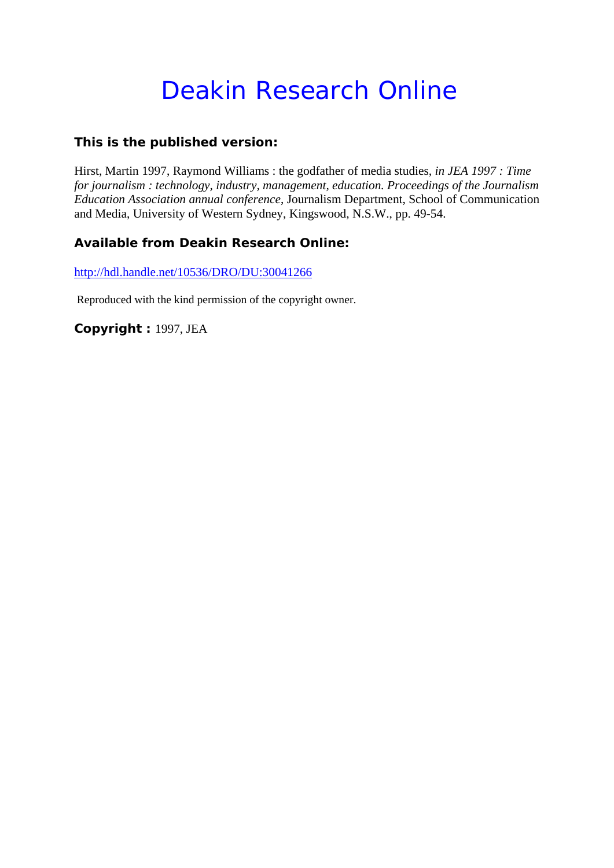# Deakin Research Online

### **This is the published version:**

Hirst, Martin 1997, Raymond Williams : the godfather of media studies*, in JEA 1997 : Time for journalism : technology, industry, management, education. Proceedings of the Journalism Education Association annual conference*, Journalism Department, School of Communication and Media, University of Western Sydney, Kingswood, N.S.W., pp. 49-54.

## **Available from Deakin Research Online:**

http://hdl.handle.net/10536/DRO/DU:30041266

Reproduced with the kind permission of the copyright owner.

**Copyright :** 1997, JEA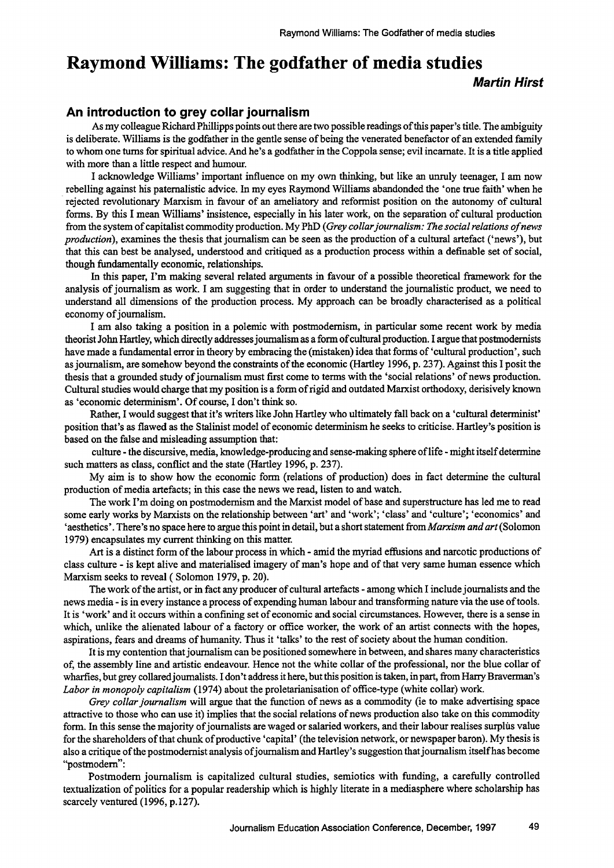# **Raymond Williams: The godfather of media studies**

**Martin Hirst** 

#### **An introduction to grey collar journalism**

As my colleague Richard Phillipps points out there are two possible readings of this paper's title. The ambiguity is deliberate. Williams is the godfather in the gentle sense of being the venerated benefactor of an extended family to whom one turns for spiritual advice. And he's a godfather in the Coppola sense; evil incarnate. It is a title applied with more than a little respect and humour.

I acknowledge Williams' important influence on my own thinking, but like an unruly teenager, I am now rebelling against his paternalistic advice. In my eyes Raymond Williams abandonded the 'one true faith' when he . rejected revolutionary Marxism in favour of an ameliatory and refonnist position on the autonomy of cultural fonns. By this I mean Williams' insistence, especially in his later work, on the separation of cultural production from the system of capitalist commodity production. My PhD *(Grey collar journalism: The social relations of news production*), examines the thesis that journalism can be seen as the production of a cultural artefact ('news'), but that this can best be analysed, understood and critiqued as a production process within a definable set of social, though fundamentally economic, relationships.

In this paper, I'm making several related arguments in favour of a possible theoretical framework for the analysis of journalism as work. I am suggesting that in order to understand the journalistic product, we need to understand all dimensions of the production process. My approach can be broadly characterised as a political economy of journalism.

I am also taking a position in a polemic with postmodernism, in particular some recent work by media theorist John Hartley, which directly addresses journalism as a fonn of cultural production. I argue that postmodernists have made a fundamental error in theory by embracing the (mistaken) idea that forms of 'cultural production', such as journalism, are somehow beyond the constraints of the economic (Hartley 1996, p. 237). Against this I posit the thesis that a grounded study of journalism must first come to tenns with the 'social relations' of news production. Cultural studies would charge that my position is a fonn of rigid and outdated Marxist orthodoxy, derisively known as 'economic determinism'. Of course, I don't think so.

Rather, I would suggest that it's writers like John Hartley who ultimately fall back on a 'cultural determinist' position that's as flawed as the Stalinist model of economic determinism he seeks to criticise. Hartley's position is based on the false and misleading assumption that:

culture - the discursive, media, knowledge-producing and sense-making sphere of life - might itself detennine such matters as class, conflict and the state (Hartley 1996, p. 237).

My aim is to show how the economic fonn (relations of production) does in fact determine the cultural production of media artefacts; in this case the news we read, listen to and watch.

The work I'm doing on postmodernism and the Marxist model of base and superstructure has led me to read some early works by Marxists on the relationship between 'art' and 'work'; 'class' and 'culture'; 'economics' and 'aesthetics'. There's no space here to argue this point in detail, but a short statement from *Marxism and art* (Solomon 1979) encapsulates my current thinking on this matter.

Art is a distinct fonn of the labour process in which - amid the myriad effusions and narcotic productions of class culture - is kept alive and materialised imagery of man's hope and of that very same human essence which Marxism seeks to reveal (Solomon 1979, p. 20).

The work of the artist, or in fact any producer of cultural artefacts - among which I include journalists and the news media - is in every instance a process of expending human labour and transforming nature via the use of tools. It is 'work' and it occurs within a confining set of economic and social circumstances. However, there is a sense in which, unlike the alienated labour of a factory or office worker, the work of an artist connects with the hopes, aspirations, fears and dreams of humanity. Thus it 'talks' to the rest of society about the human condition.

It is my contention that journalism can be positioned somewhere in between, and shares many characteristics of, the assembly line and artistic endeavour. Hence not the white collar of the professional, nor the blue collar of wharfies, but grey collared journalists. I don't address it here, but this position is taken, in part, from Harry Braverman's *Labor in monopoly capitalism* (1974) about the proletarianisation of office-type (white collar) work.

*Grey collar journalism* will argue that the function of news as a commodity (ie to make advertising space attractive to those who can use it) implies that the social relations of news production also take on this commodity fonn. In this sense the majority of journalists are waged or salaried workers, and their labour realises surplus value for the shareholders of that chunk of productive 'capital' (the television network, or newspaper baron). My thesis is also a critique of the postmodernist analysis of journalism and Hartley's suggestion that journalism itself has become "postmodern":

Postmodern journalism is capitalized cultural studies, semiotics with funding, a carefully controlled textualization of politics for a popular readership which is highly literate in a mediasphere where scholarship has scarcely ventured (1996, p.127).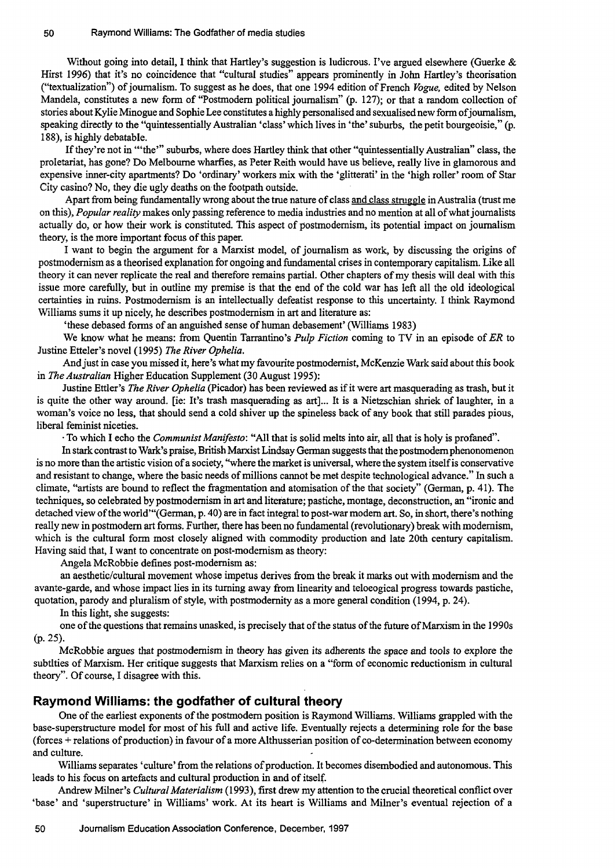Without going into detail, I think that Hartley's suggestion is ludicrous. I've argued elsewhere (Guerke & Hirst 1996) that it's no coincidence that "cultural studies" appears prominently in John Hartley's theorisation ("textuaIization") of journalism. To suggest as he does, that one 1994 edition of French *Vogue,* edited by Nelson Mandela, constitutes a new form of "Postmodern political journalism" (p. 127); or that a random collection of stories about Kylie Minogue and Sophie Lee constitutes a highly personalised and sexualised new form of journalism, speaking directly to the "quintessentially Australian 'class' which lives in 'the' suburbs, the petit bourgeoisie," (p. 188), is highly debatable.

If they're not in "'the'" suburbs, where does Hartley think that other "quintessentially Australian" class, the proletariat, has gone? Do Melbourne wharfies, as Peter Reith would have us believe, really live in glamorous and expensive inner-city apartments? Do 'ordinary' workers mix with the 'glitterati' in the 'high roller' room of Star City casino? No, they die ugly deaths on the footpath outside.

Apart from being fundamentally wrong about the true nature of class and class struggle in Australia (trust me on this), *Popular reality* makes only passing reference to media industries and no mention at all of what journalists actually do, or how their work is constituted. This aspect of postrnodemism, its potential impact on journalism theory, is the more important focus of this paper.

I want to begin the argument for a Marxist model, of journalism as work, by discussing the origins of postrnodernism as a theorised explanation for ongoing and fundamental crises in contemporary capitalism. Like all theory it can never replicate the real and therefore remains partial. Other chapters of my thesis will deal with this issue more carefully, but in outline my premise is that the end of the cold war has left all the old ideological certainties in ruins. Postrnodernism is an intellectually defeatist response to this uncertainty. I think Raymond Williams sums it up nicely, he describes postmodernism in art and literature as:

'these debased forms of an anguished sense of human debasement' (Williams 1983)

We know what he means: from Quentin Tarrantino's *Pulp Fiction* coming to TV in an episode of *ER* to Justine Etteler's novel (1995) *The River Ophelia.* 

And just in case you missed it, here's what my favourite postrnodernist, McKenzie Wark said about this book in *The Australian* Higher Education Supplement (30 August 1995):

Justine Ettler's *The River Ophelia* (picador) has been reviewed as if it were art masquerading as trash, but it is quite the other way around. [ie: It's trash masquerading as art]... It is a Nietzschian shriek of laughter, in a woman's voice no less, that should send a cold shiver up the spineless back of any book that still parades pious, liberal feminist niceties.

. To which I echo the *Communist Manifesto:* "All that is solid melts into air, all that is holy is profaned".

In stark contrast to Wark's praise, British Marxist Lindsay German suggests that the postmodern phenonomenon is no more than the artistic vision of a society, "where the market is universal, where the system itself is conservative and resistant to change, where the basic needs of millions cannot be met despite technological advance." In such a climate, "artists are bound to reflect the fragmentation and atornisation of the that society" (German, p. 41). The techniques, so celebrated by postrnodemism in art and literature; pastiche, montage, deconstruction, an "ironic and detached view of the world"'{German, p. 40) are in fact integral to post-war modem art. So, in short, there's nothing really new in postrnodern art forms. Further, there has been no fundamental (revolutionary) break with modernism, which is the cultural form most closely aligned with commodity production and late 20th century capitalism. Having said that, I want to concentrate on post-modernism as theory:

Angela McRobbie defines post-modernism as:

an aesthetic/cultural movement whose impetus derives from the break it marks out with modernism and the avante-garde, and whose impact lies in its turning away from linearity and teloeogical progress towards pastiche, quotation, parody and pluralism of style, with postmodernity as a more general condition (1994, p. 24).

In this light, she suggests:

one of the questions that remains unasked, is precisely that of the status of the future of Marxism in the 1990s (p.25).

McRobbie argues that postmodemism in theory has given its adherents the space and tools to explore the subtities of Marxism. Her critique suggests that Marxism relies on a "form of economic reductionism in cultural theory". Of course, I disagree with this.

#### **Raymond Williams: the godfather of cultural theory**

One of the earliest exponents of the postrnodern position is Raymond Williams. Williams grappled with the base-superstructure model for most of his full and active life. Eventually rejects a determining role for the base (forces + relations of production) in favour of a more Althusserian position of co-determination between economy and culture.

Williams separates 'culture' from the relations of production. It becomes disembodied and autonomous. This leads to his focus on artefacts and cultural production in and of itself.

Andrew Milner's *Cultural Materialism* (1993), first drew my attention to the crucial theoretical conflict over 'base' and 'superstructure' in Williams' work. At its heart is Williams and Milner's eventual rejection of a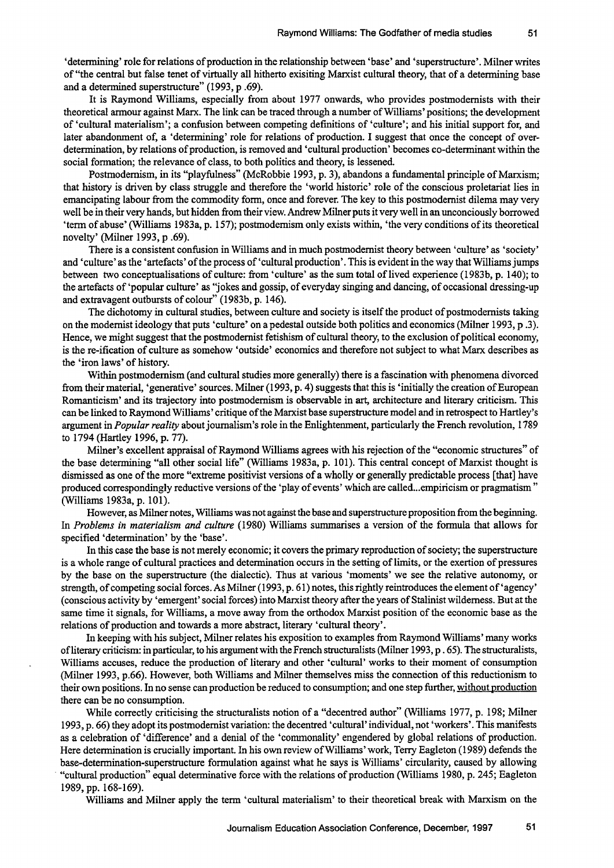'determining' role for relations of production in the relationship between 'base' and 'superstructure'. Milner writes of "the central but false tenet of virtually all hitherto exisiting Marxist cultural theory, that of a detennining base and a detennined superstructure" (1993, p .69).

It is Raymond Williams, especially from about 1977 onwards, who provides postmodernists with their theoretical armour against Marx. The link can be traced through a number of Williams ' positions; the development of 'cultural materialism'; a confusion between competing definitions of 'culture'; and his initial support for, and later abandonment of, a 'determining' role for relations of production. I suggest that once the concept of overdetennination, by relations of production, is removed and 'cultural production' becomes co-determinant within the social formation; the relevance of class, to both politics and theory, is lessened.

Postmodernism, in its "playfulness" (McRobbie 1993, p. 3), abandons a fundamental principle of Marxism; that history is driven by class struggle and therefore the 'world historic' role of the conscious proletariat lies in emancipating labour from the commodity form, once and forever. The key to this postmodernist dilema may very well be in their very hands, but hidden from their view. Andrew Milner puts it very well in an unconciously borrowed 'term of abuse' (Williams 1983a, p. 157); postmodemism only exists within, 'the very conditions of its theoretical novelty' (Milner 1993, p .69).

There is a consistent confusion in Williams and in much postmodernist theory between 'culture' as 'society' and 'culture' as the 'artefacts' of the process of' cultural production' . This is evident in the way that Williams jumps between two conceptualisations of culture: from 'culture' as the sum total of lived experience (1983b, p. 140); to the artefacts of 'popular culture' as "jokes and gossip, of everyday singing and dancing, of occasional dressing-up and extravagent outbursts of colour" (1983b, p. 146).

The dichotomy in cultural studies, between culture and society is itself the product of postmodernists taking on the modernist ideology that puts 'culture' on a pedestal outside both politics and economics (Milner 1993, p .3). Hence, we might suggest that the postmodernist fetishism of cultural theory, to the exclusion of political economy, is the re-ification of culture as somehow 'outside' economics and therefore not subject to what Marx describes as the 'iron laws' of history.

Within postmodemism (and cultural studies more generally) there is a fascination with phenomena divorced from their material, 'generative' sources. Milner (1993, p. 4) suggests that this is 'initially the creation of European Romanticism' and its trajectory into postmodernism is observable in art, architecture and literary criticism. This can be linked to Raymond Williams' critique of the Marxist base superstructure model and in retrospect to Hartley's argument in *Popular reality* about journalism's role in the Enlightenment, particularly the French revolution, 1789 to 1794 (Hartley 1996, p. 77).

Milner's excellent appraisal of Raymond Williams agrees with his rejection of the "economic structures" of the base determining "all other social life" (Williams 1983a, p. 101). This central concept of Marxist thought is dismissed as one of the more "extreme positivist versions of a wholly or generally predictable process [that] have produced correspondingly reductive versions of the 'play of events' which are called ... empiricism or pragmatism" (Williams 1983a, p. 101).

However, as Milner notes, Williams was not against the base and superstructure proposition from the beginning. In *Problems in materialism and culture* (1980) Williams summarises a version of the formula that allows for specified 'determination' by the 'base'.

In this case the base is not merely economic; it covers the primary reproduction of society; the superstructure is a whole range of cultural practices and determination occurs in the setting of limits, or the exertion of pressures by the base on the superstructure (the dialectic). Thus at various 'moments' we see the relative autonomy, or strength, of competing social forces. As Milner (1993, p. 61) notes, this rightly reintroduces the element of 'agency' (conscious activity by 'emergent' social forces) into Marxist theory after the years of Stalinist wilderness. But at the same time it signals, for Williams, a move away from the orthodox Marxist position of the economic base as the relations of production and towards a more abstract, literary 'cultural theory'.

In keeping with his subject, Milner relates his exposition to examples from Raymond Williams' many works ofliterary criticism: in particular, to his argument with the French structuralists (Milner 1993, P . 65). The structuralists, Williams accuses, reduce the production of literary and other 'cultural' works to their moment of consumption (Milner 1993, p.66). However, both Williams and Milner themselves miss the connection of this reductionism to their own positions. In no sense can production be reduced to consumption; and one step further, without production there can be no consumption.

While correctly criticising the structuralists notion of a "decentred author" (Williams 1977, p. 198; Milner 1993, p. 66) they adopt its postmodernist variation: the decentred 'cultural' individual, not 'workers'. This manifests as a celebration of 'difference' and a denial of the 'commonality' engendered by global relations of production. Here determination is crucially important. In his own review of Williams' work, Terry Eagleton (1989) defends the base-determination-superstructure formulation against what he says is Williams' circularity, caused by allowing . "cultural production" equal determinative force with the relations of production (Williams 1980, p. 245; Eagleton 1989, pp. 168-169).

Williams and Milner apply the term 'cultural materialism' to their theoretical break with Marxism on the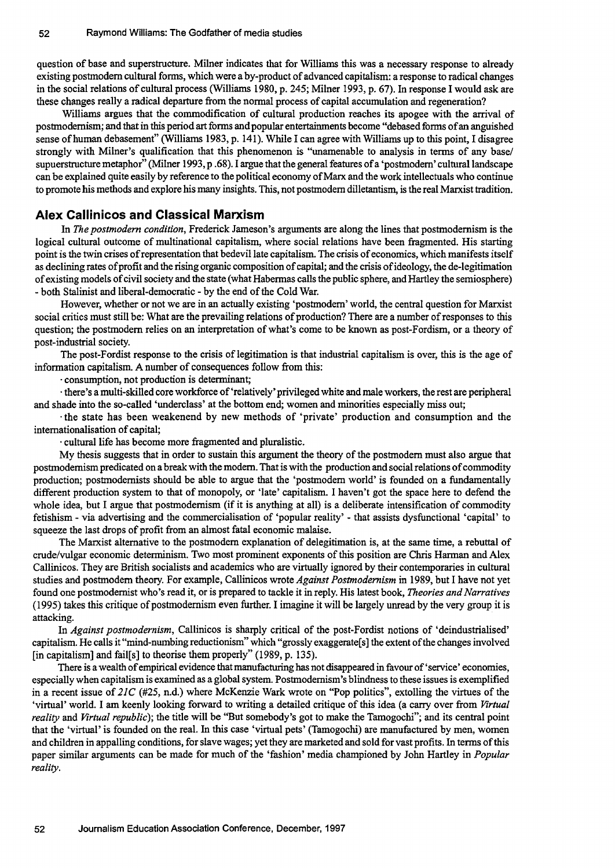question of base and superstructure. Milner indicates that for Williams this was a necessary response to already existing postmodem cultural forms, which were a by-product of advanced capitalism: a response to radical changes in the social relations of cultural process (Williams 1980, p. 245; Milner 1993, p. 67). In response I would ask are these changes really a radical departure from the normal process of capital accumulation and regeneration?

Williams argues that the commodification of cultural production reaches its apogee with the arrival of postmodemism; and that in this period art forms and popular entertainments become "debased forms of an anguished sense of human debasement" (Williams 1983, p. 141). While I can agree with Williams up to this point, I disagree strongly with Milner's qualification that this phenomenon is "unamenable to analysis in terms of any basel supuerstructure metaphor" (Milner 1993, p .68). I argue that the general features of a 'postmodem' cultural landscape can be explained quite easily by reference to the political economy of Marx and the work intellectuals who continue to promote his methods and explore his many insights. This, not postmodem dilletantism, is the real Marxist tradition.

#### **Alex Callinicos and Classical Marxism**

In *The postmodern condition,* Frederick Jameson's arguments are along the lines that postmodernism is the logical cultural outcome of multinational capitalism, where social relations have been fragmented. His starting point is the twin crises of representation that bedevil late capitalism. The crisis of economics, which manifests itself as declining rates of profit and the rising organic composition of capital; and the crisis of ideology, the de-legitimation of existing models of civil society and the state (what Habermas calls the public sphere, and Hartley the semiosphere) - both Stalinist and liberal-democratic - by the end of the Cold War.

However, whether or not we are in an actually existing 'postmodem' world, the central question for Marxist social critics must still be: What are the prevailing relations of production? There are a number of responses to this question; the postmodem relies on an interpretation of what's come to be known as post-Fordism, or a theory of post-industrial society.

The post-Fordist response to the crisis of legitimation is that industrial capitalism is over, this is the age of information capitalism. A number of consequences follow from this:

· consumption, not production is determinant;

· there's a multi-skilled core workforce of 'relatively' privileged white and male workers, the rest are peripheral and shade into the so-called 'underclass' at the bottom end; women and minorities especially miss out;

· the state has been weakenend by new methods of 'private' production and consumption and the internationalisation of capital;

· cultural life has become more fragmented and pluralistic.

My thesis suggests that in order to sustain this argument the theory of the postmodem must also argue that postmodemism predicated on a break with the modem. That is with the production and social relations of commodity production; postmodemists should be able to argue that the 'postmodem world' is founded on a fundamentally different production system to that of monopoly, or 'late' capitalism. I haven't got the space here to defend the whole idea, but I argue that postmodernism (if it is anything at all) is a deliberate intensification of commodity fetishism - via advertising and the commercialisation of 'popular reality' - that assists dysfunctional 'capital' to squeeze the last drops of profit from an almost fatal economic malaise.

The Marxist alternative to the postmodem explanation of delegitimation is, at the same time, a rebuttal of crude/vulgar economic determinism. Two most prominent exponents of this position are Chris Harman and Alex Callinicos. They are British socialists and academics who are virtually ignored by their contemporaries in cultural studies and postmodem theory. For example, Callinicos wrote *Against Postmodernism* in 1989, but I have not yet found one postmodemist who's read it, or is prepared to tackle it in reply. His latest book, *Theories and Narratives*  (1995) takes this critique ofpostmodemism even further. I imagine it will be largely unread by the very group it is attacking.

In *Against postmodernism*, Callinicos is sharply critical of the post-Fordist notions of 'deindustrialised' capitalism. He calls it "mind-numbing reductionism" which "grossly exaggerate[ s] the extent of the changes involved [in capitalism] and fail[s] to theorise them properly" (1989, p. 135).

There is a wealth of empirical evidence that manufacturing has not disappeared in favour of 'service' economies, especially when capitalism is examined as a global system. Postmodemism's blindness to these issues is exemplified in a recent issue of  $2IC$  (#25, n.d.) where McKenzie Wark wrote on "Pop politics", extolling the virtues of the 'virtual' world. I am keenly looking forward to writing a detailed critique of this idea (a carry over from *Virtual reality* and *Virtual republic);* the title will be "But somebody's got to make the Tamogochi"; and its central point that the 'virtual' is founded on the real. In this case 'virtual pets' (Tamogochi) are manufactured by men, women and children in appalling conditions, for slave wages; yet they are marketed and sold for vast profits. In terms of this paper similar arguments can be made for much of the 'fashion' media championed by John Hartley in *Popular reality.*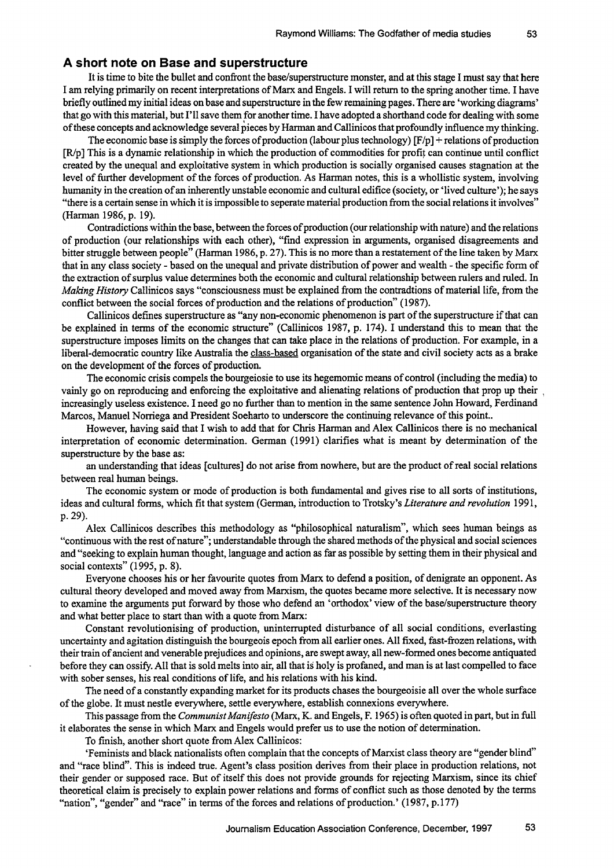#### **A short note on Base and superstructure**

It is time to bite the bullet and confront the base/superstructure monster, and at this stage I must say that here I am relying primarily on recent interpretations of Marx and Engels. I will return to the spring another time. I have briefly outlined my initial ideas on base and superstructure in the few remaining pages. There are 'working diagrams' that go with this material, but I'll save them for another time. I have adopted a shorthand code for dealing with some of these concepts and acknowledge several pieces by Harman and Callinicos that profoundly influence my thinking.

The economic base is simply the forces of production (labour plus technology)  $[F/p]$  + relations of production  $[R/p]$  This is a dynamic relationship in which the production of commodities for profit can continue until conflict created by the unequal and exploitative system in which production is socially organised causes stagnation at the level of further development of the forces of production. As Harman notes, this is a whollistic system, involving humanity in the creation of an inherently unstable economic and cultural edifice (society, or 'lived culture'); he says "there is a certain sense in which it is impossible to seperate material production from the social relations it involves" (Harman 1986, p. 19).

Contradictions within the base, between the forces of production (our relationship with nature) and the relations of production (our relationships with each other), "find expression in arguments, organised disagreements and bitter struggle between people" (Harman 1986, p. 27). This is no more than a restatement of the line taken by Marx that in any class society - based on the unequal and private distribution of power and wealth - the specific form of the extraction of surplus value determines both the economic and cultural relationship between rulers and ruled. In *Making History* Callinicos says "consciousness must be explained from the contradtions of material life, from the conflict between the social forces of production and the relations of production" (1987).

Callinicos defines superstructure as "any non-economic phenomenon is part of the superstructure if that can be explained in terms of the economic structure" (Callinicos 1987, p. 174). I understand this to mean that the superstructure imposes limits on the changes that can take place in the relations of production. For example, in a liberal-democratic country like Australia the class-based organisation of the state and civil society acts as a brake on the development of the forces of production.

The economic crisis compels the bourgeiosie to use its hegemomic means of control (including the media) to vainly go on reproducing and enforcing the exploitative and alienating relations of production that prop up their <sup>I</sup> increasingly useless existence. I need go no further than to mention in the same sentence John Howard, Ferdinand Marcos, Manuel Norriega and President Soeharto to underscore the continuing relevance of this point..

However, having said that I wish to add that for Chris Harman and Alex Callinicos there is no mechanical interpretation of economic determination. German (1991) clarifies what is meant by determination of the superstructure by the base as:

an understanding that ideas [cultures] do not arise from nowhere, but are the product of real social relations between real human beings.

The economic system or mode of production is both fundamental and gives rise to all sorts of institutions, ideas and cultural forms, which fit that system (German, introduction to Trotsky's *Literature and revolution 1991,*  p.29).

Alex Callinicos describes this methodology as "philosophical naturalism", which sees human beings as "continuous with the rest of nature"; understandable through the shared methods of the physical and social sciences and "seeking to explain human thought, language and action as far as possible by setting them in their physical and social contexts" (1995, p. 8).

Everyone chooses his or her favourite quotes from Marx to defend a position, of denigrate an opponent. As cultural theory developed and moved away from Marxism, the quotes became more selective. It is necessary now to examine the arguments put forward by those who defend an 'orthodox' view of the base/superstructure theory and what better place to start than with a quote from Marx:

Constant revolutionising of production, uninterrupted disturbance of all social conditions, everlasting uncertainty and agitation distinguish the bourgeois epoch from all earlier ones. All fixed, fast-frozen relations, with their train of ancient and venerable prejudices and opinions, are swept away, all new-formed ones become antiquated before they can ossify. All that is sold melts into air, all that is holy is profaned, and man is at last compelled to face with sober senses, his real conditions of life, and his relations with his kind.

The need of a constantly expanding market for its products chases the bourgeoisie all over the whole surface of the globe. It must nestle everywhere, settle everywhere, establish connexions everywhere.

This passage from the *Communist Manifesto* (Marx, K. and Engels, F. 1965) is often quoted in part, but in full it elaborates the sense in which Marx and Engels would prefer us to use the notion of determination.

To finish, another short quote from Alex Callinicos:

'Feminists and black nationalists often complain that the concepts of Marxist class theory are "gender blind" and "race blind". This is indeed true. Agent's class position derives from their place in production relations, not their gender or supposed race. But of itself this does not provide grounds for rejecting Marxism, since its chief theoretical claim is precisely to explain power relations and forms of conflict such as those denoted by the terms "nation", "gender" and "race" in terms of the forces and relations of production.' (1987, p.I77)